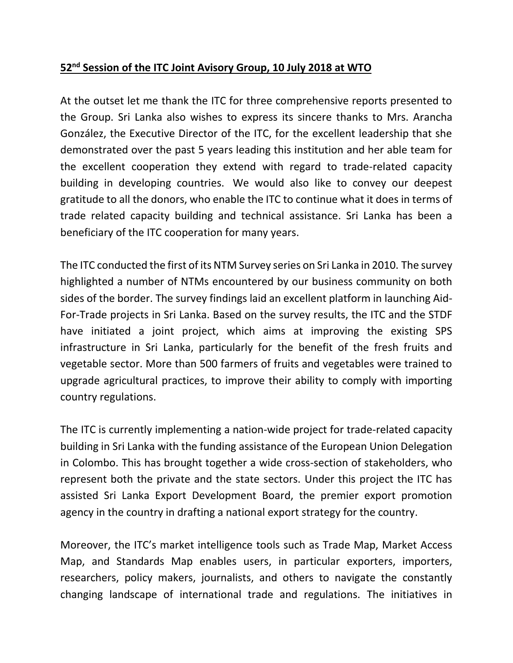## **52nd Session of the ITC Joint Avisory Group, 10 July 2018 at WTO**

At the outset let me thank the ITC for three comprehensive reports presented to the Group. Sri Lanka also wishes to express its sincere thanks to Mrs. Arancha González, the Executive Director of the ITC, for the excellent leadership that she demonstrated over the past 5 years leading this institution and her able team for the excellent cooperation they extend with regard to trade-related capacity building in developing countries. We would also like to convey our deepest gratitude to all the donors, who enable the ITC to continue what it does in terms of trade related capacity building and technical assistance. Sri Lanka has been a beneficiary of the ITC cooperation for many years.

The ITC conducted the first of its NTM Survey series on Sri Lanka in 2010. The survey highlighted a number of NTMs encountered by our business community on both sides of the border. The survey findings laid an excellent platform in launching Aid-For-Trade projects in Sri Lanka. Based on the survey results, the ITC and the STDF have initiated a joint project, which aims at improving the existing SPS infrastructure in Sri Lanka, particularly for the benefit of the fresh fruits and vegetable sector. More than 500 farmers of fruits and vegetables were trained to upgrade agricultural practices, to improve their ability to comply with importing country regulations.

The ITC is currently implementing a nation-wide project for trade-related capacity building in Sri Lanka with the funding assistance of the European Union Delegation in Colombo. This has brought together a wide cross-section of stakeholders, who represent both the private and the state sectors. Under this project the ITC has assisted Sri Lanka Export Development Board, the premier export promotion agency in the country in drafting a national export strategy for the country.

Moreover, the ITC's market intelligence tools such as Trade Map, Market Access Map, and Standards Map enables users, in particular exporters, importers, researchers, policy makers, journalists, and others to navigate the constantly changing landscape of international trade and regulations. The initiatives in